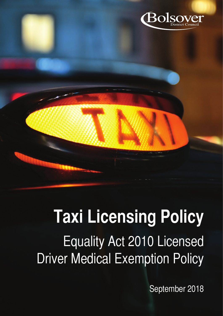

# **Taxi Licensing Policy** Equality Act 2010 Licensed

Driver Medical Exemption Policy

September 2018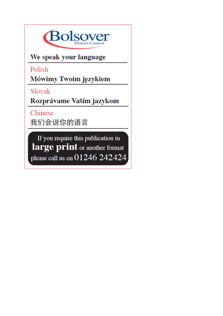

We speak your language

Polish

Mówimy Twoim językiem

Slovak

Rozprávame Vaším jazykom

Chinese

我们会说你的语言

If you require this publication in large print or another format please call us on 01246 242424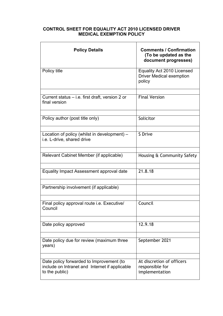## **CONTROL SHEET FOR EQUALITY ACT 2010 LICENSED DRIVER MEDICAL EXEMPTION POLICY**

| <b>Policy Details</b>                                                                                        | <b>Comments / Confirmation</b><br>(To be updated as the<br>document progresses) |
|--------------------------------------------------------------------------------------------------------------|---------------------------------------------------------------------------------|
| Policy title                                                                                                 | Equality Act 2010 Licensed<br><b>Driver Medical exemption</b><br>policy         |
| Current status – i.e. first draft, version 2 or<br>final version                                             | <b>Final Version</b>                                                            |
| Policy author (post title only)                                                                              | Solicitor                                                                       |
| Location of policy (whilst in development) –<br>i.e. L-drive, shared drive                                   | S Drive                                                                         |
| Relevant Cabinet Member (if applicable)                                                                      | Housing & Community Safety                                                      |
| Equality Impact Assessment approval date                                                                     | 21.8.18                                                                         |
| Partnership involvement (if applicable)                                                                      |                                                                                 |
| Final policy approval route i.e. Executive/<br>Council                                                       | Council                                                                         |
| Date policy approved                                                                                         | 12.9.18                                                                         |
| Date policy due for review (maximum three<br>years)                                                          | September 2021                                                                  |
| Date policy forwarded to Improvement (to<br>include on Intranet and Internet if applicable<br>to the public) | At discretion of officers<br>responsible for<br>implementation                  |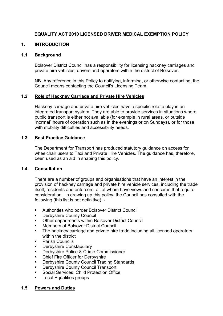# **EQUALITY ACT 2010 LICENSED DRIVER MEDICAL EXEMPTION POLICY**

## **1. INTRODUCTION**

#### **1.1 Background**

Bolsover District Council has a responsibility for licensing hackney carriages and private hire vehicles, drivers and operators within the district of Bolsover.

NB. Any reference in this Policy to notifying, informing, or otherwise contacting, the Council means contacting the Council's Licensing Team.

## **1.2 Role of Hackney Carriage and Private Hire Vehicles**

Hackney carriage and private hire vehicles have a specific role to play in an integrated transport system. They are able to provide services in situations where public transport is either not available (for example in rural areas, or outside "normal" hours of operation such as in the evenings or on Sundays), or for those with mobility difficulties and accessibility needs.

## **1.3 Best Practice Guidance**

The Department for Transport has produced statutory guidance on access for wheelchair users to Taxi and Private Hire Vehicles. The guidance has, therefore, been used as an aid in shaping this policy.

#### **1.4 Consultation**

There are a number of groups and organisations that have an interest in the provision of hackney carriage and private hire vehicle services, including the trade itself, residents and enforcers, all of whom have views and concerns that require consideration. In drawing up this policy, the Council has consulted with the following (this list is not definitive): -

- Authorities who border Bolsover District Council
- Derbyshire County Council
- Other departments within Bolsover District Council
- Members of Bolsover District Council
- The hackney carriage and private hire trade including all licensed operators within the district
- Parish Councils
- Derbyshire Constabulary
- Derbyshire Police & Crime Commissioner
- Chief Fire Officer for Derbyshire
- Derbyshire County Council Trading Standards
- Derbyshire County Council Transport
- Social Services, Child Protection Office
- **Local Equalities groups**

#### **1.5 Powers and Duties**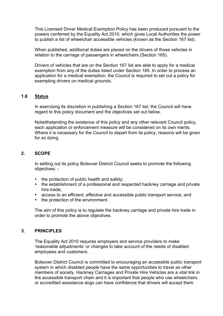This Licensed Driver Medical Exemption Policy has been produced pursuant to the powers conferred by the Equality Act 2010, which gives Local Authorities the power to publish a list of wheelchair accessible vehicles (known as the Section 167 list).

When published, additional duties are placed on the drivers of those vehicles in relation to the carriage of passengers in wheelchairs (Section 165).

Drivers of vehicles that are on the Section 167 list are able to apply for a medical exemption from any of the duties listed under Section 165. In order to process an application for a medical exemption, the Council is required to set out a policy for exempting drivers on medical grounds.

## **1.6 Status**

In exercising its discretion in publishing a Section 167 list, the Council will have regard to this policy document and the objectives set out below.

Notwithstanding the existence of this policy and any other relevant Council policy, each application or enforcement measure will be considered on its own merits. Where it is necessary for the Council to depart from its policy, reasons will be given for so doing.

## **2. SCOPE**

In setting out its policy Bolsover District Council seeks to promote the following objectives: -

- the protection of public health and safety;
- the establishment of a professional and respected hackney carriage and private hire trade;
- access to an efficient, effective and accessible public transport service; and
- the protection of the environment.

The aim of this policy is to regulate the hackney carriage and private hire trade in order to promote the above objectives.

#### **3. PRINCIPLES**

The Equality Act 2010 requires employers and service providers to make 'reasonable adjustments' or changes to take account of the needs of disabled employees and customers.

Bolsover District Council is committed to encouraging an accessible public transport system in which disabled people have the same opportunities to travel as other members of society. Hackney Carriages and Private Hire Vehicles are a vital link in the accessible transport chain and it is important that people who use wheelchairs or accredited assistance dogs can have confidence that drivers will accept them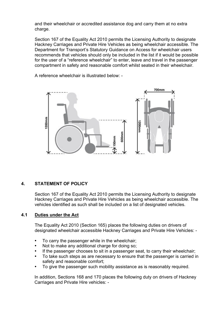and their wheelchair or accredited assistance dog and carry them at no extra charge.

Section 167 of the Equality Act 2010 permits the Licensing Authority to designate Hackney Carriages and Private Hire Vehicles as being wheelchair accessible. The Department for Transport's Statutory Guidance on Access for wheelchair users recommends that vehicles should only be included in the list if it would be possible for the user of a "reference wheelchair" to enter, leave and travel in the passenger compartment in safety and reasonable comfort whilst seated in their wheelchair.

A reference wheelchair is illustrated below: -



# **4. STATEMENT OF POLICY**

Section 167 of the Equality Act 2010 permits the Licensing Authority to designate Hackney Carriages and Private Hire Vehicles as being wheelchair accessible. The vehicles identified as such shall be included on a list of designated vehicles.

# **4.1 Duties under the Act**

The Equality Act 2010 (Section 165) places the following duties on drivers of designated wheelchair accessible Hackney Carriages and Private Hire Vehicles: -

- To carry the passenger while in the wheelchair:
- Not to make any additional charge for doing so;
- If the passenger chooses to sit in a passenger seat, to carry their wheelchair;
- To take such steps as are necessary to ensure that the passenger is carried in safety and reasonable comfort;
- To give the passenger such mobility assistance as is reasonably required.

In addition, Sections 168 and 170 places the following duty on drivers of Hackney Carriages and Private Hire vehicles: -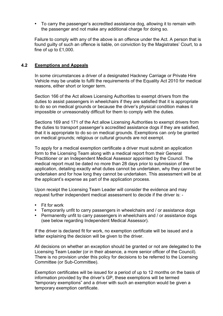• To carry the passenger's accredited assistance dog, allowing it to remain with the passenger and not make any additional charge for doing so.

Failure to comply with any of the above is an offence under the Act. A person that is found guilty of such an offence is liable, on conviction by the Magistrates' Court, to a fine of up to £1,000.

## **4.2 Exemptions and Appeals**

In some circumstances a driver of a designated Hackney Carriage or Private Hire Vehicle may be unable to fulfil the requirements of the Equality Act 2010 for medical reasons, either short or longer term.

Section 166 of the Act allows Licensing Authorities to exempt drivers from the duties to assist passengers in wheelchairs if they are satisfied that it is appropriate to do so on medical grounds or because the driver's physical condition makes it impossible or unreasonably difficult for them to comply with the duties.

Sections 169 and 171 of the Act allow Licensing Authorities to exempt drivers from the duties to transport passenger's accredited assistance dogs if they are satisfied, that it is appropriate to do so on medical grounds. Exemptions can *only* be granted on medical grounds; religious or cultural grounds are not exempt.

To apply for a medical exemption certificate a driver must submit an application form to the Licensing Team along with a medical report from their General Practitioner or an Independent Medical Assessor appointed by the Council. The medical report must be dated no more than 28 days prior to submission of the application, detailing exactly what duties cannot be undertaken, why they cannot be undertaken and for how long they cannot be undertaken. This assessment will be at the applicant's expense as part of the application process.

Upon receipt the Licensing Team Leader will consider the evidence and may request further independent medical assessment to decide if the driver is: -

- Fit for work
- Temporarily unfit to carry passengers in wheelchairs and / or assistance dogs
- Permanently unfit to carry passengers in wheelchairs and / or assistance dogs (see below regarding Independent Medical Assessor).

If the driver is declared fit for work, no exemption certificate will be issued and a letter explaining the decision will be given to the driver.

All decisions on whether an exception should be granted or not are delegated to the Licensing Team Leader (or in their absence, a more senior officer of the Council). There is no provision under this policy for decisions to be referred to the Licensing Committee (or Sub-Committee).

Exemption certificates will be issued for a period of up to 12 months on the basis of information provided by the driver's GP, these exemptions will be termed "temporary exemptions" and a driver with such an exemption would be given a temporary exemption certificate.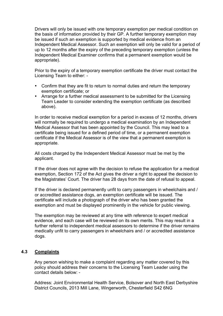Drivers will only be issued with one temporary exemption per medical condition on the basis of information provided by their GP. A further temporary exemption may be issued if such an exemption is supported by medical evidence from an Independent Medical Assessor. Such an exemption will only be valid for a period of up to 12 months after the expiry of the preceding temporary exemption (unless the Independent Medical Examiner confirms that a permanent exemption would be appropriate).

Prior to the expiry of a temporary exemption certificate the driver must contact the Licensing Team to either: -

- Confirm that they are fit to return to normal duties and return the temporary exemption certificate; or
- Arrange for a further medical assessment to be submitted for the Licensing Team Leader to consider extending the exemption certificate (as described above).

In order to receive medical exemption for a period in excess of 12 months, drivers will normally be required to undergo a medical examination by an Independent Medical Assessor that has been appointed by the Council. This may lead to a certificate being issued for a defined period of time, or a permanent exemption certificate if the Medical Assessor is of the view that a permanent exemption is appropriate.

All costs charged by the Independent Medical Assessor must be met by the applicant.

If the driver does not agree with the decision to refuse the application for a medical exemption, Section 172 of the Act gives the driver a right to appeal the decision to the Magistrates' Court. The driver has 28 days from the date of refusal to appeal.

If the driver is declared permanently unfit to carry passengers in wheelchairs and / or accredited assistance dogs, an exemption certificate will be issued. The certificate will include a photograph of the driver who has been granted the exemption and must be displayed prominently in the vehicle for public viewing.

The exemption may be reviewed at any time with reference to expert medical evidence, and each case will be reviewed on its own merits. This may result in a further referral to independent medical assessors to determine if the driver remains medically unfit to carry passengers in wheelchairs and / or accredited assistance dogs.

# **4.3 Complaints**

Any person wishing to make a complaint regarding any matter covered by this policy should address their concerns to the Licensing Team Leader using the contact details below: -

Address: Joint Environmental Health Service, Bolsover and North East Derbyshire District Councils, 2013 Mill Lane, Wingerworth, Chesterfield S42 6NG